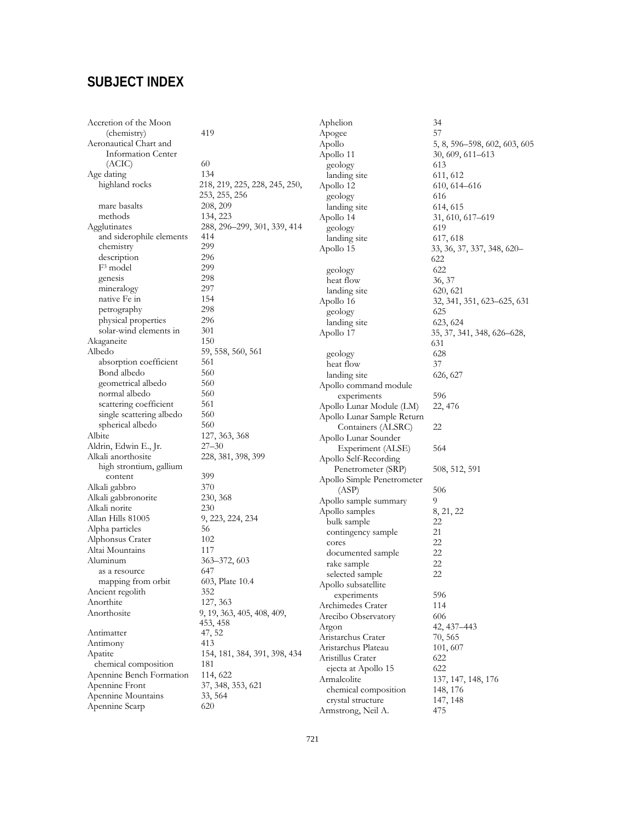# **SUBJECT INDEX**

|                              | А                                                                                                                                                                                                                                                                                              |
|------------------------------|------------------------------------------------------------------------------------------------------------------------------------------------------------------------------------------------------------------------------------------------------------------------------------------------|
| 419                          | А                                                                                                                                                                                                                                                                                              |
|                              | А                                                                                                                                                                                                                                                                                              |
|                              | А                                                                                                                                                                                                                                                                                              |
| 60                           |                                                                                                                                                                                                                                                                                                |
| 134                          |                                                                                                                                                                                                                                                                                                |
|                              | А                                                                                                                                                                                                                                                                                              |
|                              |                                                                                                                                                                                                                                                                                                |
|                              |                                                                                                                                                                                                                                                                                                |
|                              | А                                                                                                                                                                                                                                                                                              |
|                              |                                                                                                                                                                                                                                                                                                |
| 414                          |                                                                                                                                                                                                                                                                                                |
| 299                          | А                                                                                                                                                                                                                                                                                              |
| 296                          |                                                                                                                                                                                                                                                                                                |
| 299                          |                                                                                                                                                                                                                                                                                                |
| 298                          |                                                                                                                                                                                                                                                                                                |
| 297                          |                                                                                                                                                                                                                                                                                                |
| 154                          | А                                                                                                                                                                                                                                                                                              |
| 298                          |                                                                                                                                                                                                                                                                                                |
| 296                          |                                                                                                                                                                                                                                                                                                |
| 301                          | А                                                                                                                                                                                                                                                                                              |
| 150                          |                                                                                                                                                                                                                                                                                                |
|                              |                                                                                                                                                                                                                                                                                                |
| 561                          |                                                                                                                                                                                                                                                                                                |
| 560                          |                                                                                                                                                                                                                                                                                                |
| 560                          | А                                                                                                                                                                                                                                                                                              |
|                              |                                                                                                                                                                                                                                                                                                |
|                              | А                                                                                                                                                                                                                                                                                              |
|                              | А                                                                                                                                                                                                                                                                                              |
| 560                          |                                                                                                                                                                                                                                                                                                |
|                              | А                                                                                                                                                                                                                                                                                              |
|                              |                                                                                                                                                                                                                                                                                                |
|                              | А                                                                                                                                                                                                                                                                                              |
|                              |                                                                                                                                                                                                                                                                                                |
| 399                          | А                                                                                                                                                                                                                                                                                              |
| 370                          |                                                                                                                                                                                                                                                                                                |
| 230, 368                     | А                                                                                                                                                                                                                                                                                              |
| 230                          | А                                                                                                                                                                                                                                                                                              |
|                              |                                                                                                                                                                                                                                                                                                |
| 56                           |                                                                                                                                                                                                                                                                                                |
| 102                          |                                                                                                                                                                                                                                                                                                |
| 117                          |                                                                                                                                                                                                                                                                                                |
| 363-372, 603                 |                                                                                                                                                                                                                                                                                                |
| 647                          |                                                                                                                                                                                                                                                                                                |
|                              |                                                                                                                                                                                                                                                                                                |
| 352                          | А                                                                                                                                                                                                                                                                                              |
|                              | А                                                                                                                                                                                                                                                                                              |
|                              | А                                                                                                                                                                                                                                                                                              |
| 453, 458                     | А                                                                                                                                                                                                                                                                                              |
|                              |                                                                                                                                                                                                                                                                                                |
| 413                          | А<br>А                                                                                                                                                                                                                                                                                         |
| 154, 181, 384, 391, 398, 434 |                                                                                                                                                                                                                                                                                                |
| 181                          | А                                                                                                                                                                                                                                                                                              |
| 114, 622                     |                                                                                                                                                                                                                                                                                                |
| 37, 348, 353, 621            | А                                                                                                                                                                                                                                                                                              |
| 33, 564                      |                                                                                                                                                                                                                                                                                                |
| 620                          | А                                                                                                                                                                                                                                                                                              |
|                              | 218, 219, 225, 228, 245, 250,<br>253, 255, 256<br>208, 209<br>134, 223<br>288, 296-299, 301, 339, 414<br>59, 558, 560, 561<br>560<br>561<br>560<br>127, 363, 368<br>$27 - 30$<br>228, 381, 398, 399<br>9, 223, 224, 234<br>603, Plate 10.4<br>127, 363<br>9, 19, 363, 405, 408, 409,<br>47, 52 |

Aphelion 34<br>Apogee 57 apogee pollo 5, 8, 596–598, 602, 603, 605<br>pollo 11 30, 609, 611–613 30, 609, 611–613<br>613 geology landing site 611, 612 pollo 12 610, 614–616 geology 616 landing site 614, 615<br>pollo 14 31, 610, 31, 610, 617–619<br>619 geology 619<br>
landing site 617, 618 landing site Apollo 15 33, 36, 37, 337, 348, 620– 622 geology 622<br>heat flow 622<br>36, 37 heat flow 36, 37<br>landing site 620, 621 landing site<br>pollo 16 Apollo 16 32, 341, 351, 623–625, 631 geology 625 landing site 623, 624<br>pollo 17 35, 37, 34 Apollo 17 35, 37, 341, 348, 626–628, 631 geology 62<br>heat flow 57 heat flow 37<br>landing site 626, 627 landing site pollo command module experiments 596<br>Ilo Lunar Module (LM) 22, 476 pollo Lunar Module (LM) Apollo Lunar Sample Return Containers (ALSRC) 22 pollo Lunar Sounder Experiment (ALSE) 564 pollo Self-Recording Penetrometer (SRP) 508, 512, 591 pollo Simple Penetrometer  $(ASP)$  506<br>llo sample summary 9 Apollo sample summary 9  $\text{apollo samples}$  8, 21, 22 bulk sample 22<br>contingency sample 21 contingency sample 21<br>cores 22 cores 22<br>documented sample 22 documented sample 22<br>rake sample 22 rake sample selected sample 22 pollo subsatellite experiments 596<br>himedes Crater 114 rchimedes Crater 114<br>recibo Observatory 606 recibo Observatory  $42, 437-443$ ristarchus Crater 70, 565 Plateau 101, 607<br>
Pristillus Crater 622 Aristillus Crater 622<br>
ejecta at Apollo 15 622 ejecta at Apollo 15<br>malcolite 137, 147, 148, 176<br>148, 176 chemical composition 148, 176<br>crystal structure 147, 148 crystal structure Armstrong, Neil A. 475

721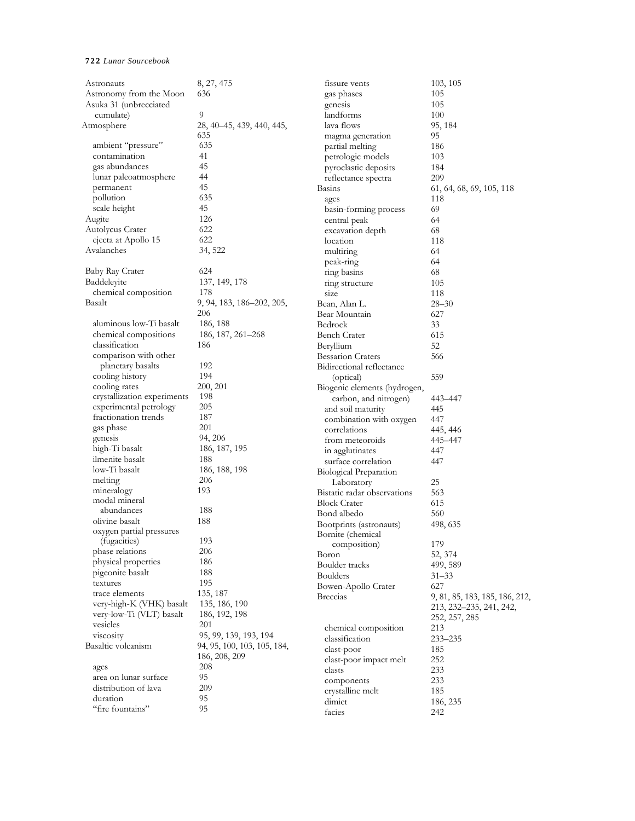| Astronauts                  | 8, 27, 475                  | fissure vents                | 103, 105                       |
|-----------------------------|-----------------------------|------------------------------|--------------------------------|
| Astronomy from the Moon     | 636                         | gas phases                   | 105                            |
| Asuka 31 (unbrecciated      |                             | genesis                      | 105                            |
| cumulate)                   | 9                           | landforms                    | 100                            |
| Atmosphere                  | 28, 40-45, 439, 440, 445,   | lava flows                   | 95, 184                        |
|                             | 635                         | magma generation             | 95                             |
| ambient "pressure"          | 635                         | partial melting              | 186                            |
| contamination               | 41                          | petrologic models            | 103                            |
| gas abundances              | 45                          | pyroclastic deposits         | 184                            |
| lunar paleoatmosphere       | 44                          | reflectance spectra          | 209                            |
| permanent                   | 45                          | <b>Basins</b>                | 61, 64, 68, 69, 105, 118       |
| pollution                   | 635                         | ages                         | 118                            |
| scale height                | 45                          | basin-forming process        | 69                             |
| Augite                      | 126                         | central peak                 | 64                             |
| Autolycus Crater            | 622                         | excavation depth             | 68                             |
| ejecta at Apollo 15         | 622                         | location                     | 118                            |
| Avalanches                  | 34, 522                     |                              |                                |
|                             |                             | multiring                    | 64                             |
| Baby Ray Crater             | 624                         | peak-ring                    | 64                             |
| Baddeleyite                 |                             | ring basins                  | 68                             |
|                             | 137, 149, 178               | ring structure               | 105                            |
| chemical composition        | 178                         | size                         | 118                            |
| Basalt                      | 9, 94, 183, 186–202, 205,   | Bean, Alan L.                | $28 - 30$                      |
|                             | 206                         | Bear Mountain                | 627                            |
| aluminous low-Ti basalt     | 186, 188                    | Bedrock                      | 33                             |
| chemical compositions       | 186, 187, 261–268           | <b>Bench Crater</b>          | 615                            |
| classification              | 186                         | Beryllium                    | 52                             |
| comparison with other       |                             | <b>Bessarion Craters</b>     | 566                            |
| planetary basalts           | 192                         | Bidirectional reflectance    |                                |
| cooling history             | 194                         | (optical)                    | 559                            |
| cooling rates               | 200, 201                    | Biogenic elements (hydrogen, |                                |
| crystallization experiments | 198                         | carbon, and nitrogen)        | 443–447                        |
| experimental petrology      | 205                         | and soil maturity            | 445                            |
| fractionation trends        | 187                         | combination with oxygen      | 447                            |
| gas phase                   | 201                         | correlations                 | 445, 446                       |
| genesis                     | 94, 206                     | from meteoroids              | 445–447                        |
| high-Ti basalt              | 186, 187, 195               | in agglutinates              | 447                            |
| ilmenite basalt             | 188                         | surface correlation          | 447                            |
| low-Ti basalt               | 186, 188, 198               | Biological Preparation       |                                |
| melting                     | 206                         | Laboratory                   | 25                             |
| mineralogy                  | 193                         | Bistatic radar observations  | 563                            |
| modal mineral               |                             | <b>Block Crater</b>          | 615                            |
| abundances                  | 188                         | Bond albedo                  | 560                            |
| olivine basalt              | 188                         | Bootprints (astronauts)      | 498, 635                       |
| oxygen partial pressures    |                             | Bornite (chemical            |                                |
| (fugacities)                | 193                         | composition)                 | 179                            |
| phase relations             | 206                         | Boron                        | 52, 374                        |
| physical properties         | 186                         | Boulder tracks               | 499, 589                       |
| pigeonite basalt            | 188                         | <b>Boulders</b>              | $31 - 33$                      |
| textures                    | 195                         | Bowen-Apollo Crater          | 627                            |
| trace elements              | 135, 187                    | <b>Breccias</b>              | 9, 81, 85, 183, 185, 186, 212, |
| very-high-K (VHK) basalt    | 135, 186, 190               |                              | 213, 232-235, 241, 242,        |
| very-low-Ti (VLT) basalt    | 186, 192, 198               |                              | 252, 257, 285                  |
| vesicles                    | 201                         | chemical composition         | 213                            |
| viscosity                   | 95, 99, 139, 193, 194       |                              |                                |
| Basaltic volcanism          | 94, 95, 100, 103, 105, 184, | classification               | $233 - 235$                    |
|                             | 186, 208, 209               | clast-poor                   | 185                            |
| ages                        | 208                         | clast-poor impact melt       | 252                            |
| area on lunar surface       | 95                          | clasts                       | 233                            |
| distribution of lava        | 209                         | components                   | 233                            |
| duration                    | 95                          | crystalline melt             | 185                            |
| "fire fountains"            | 95                          | dimict                       | 186, 235                       |
|                             |                             | facies                       | 242                            |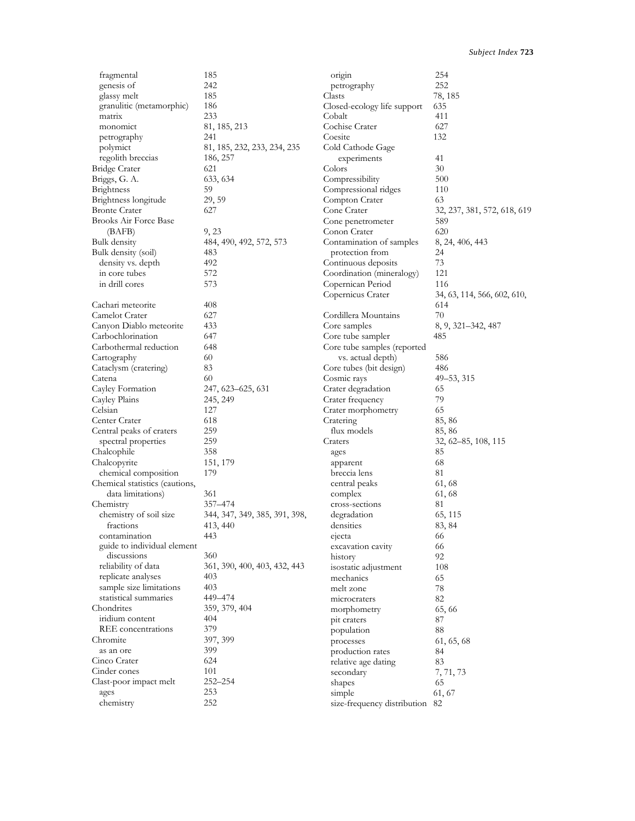| fragmental                     | 185                           | origin                         | 254                         |
|--------------------------------|-------------------------------|--------------------------------|-----------------------------|
| genesis of                     | 242                           | petrography                    | 252                         |
| glassy melt                    | 185                           | Clasts                         | 78, 185                     |
| granulitic (metamorphic)       | 186                           | Closed-ecology life support    | 635                         |
| matrix                         | 233                           | Cobalt                         | 411                         |
| monomict                       | 81, 185, 213                  | Cochise Crater                 | 627                         |
| petrography                    | 241                           | Coesite                        | 132                         |
| polymict                       | 81, 185, 232, 233, 234, 235   | Cold Cathode Gage              |                             |
| regolith breccias              | 186, 257                      | experiments                    | 41                          |
| <b>Bridge Crater</b>           | 621                           | Colors                         | 30                          |
| Briggs, G. A.                  | 633, 634                      | Compressibility                | 500                         |
| Brightness                     | 59                            | Compressional ridges           | 110                         |
| Brightness longitude           | 29, 59                        | Compton Crater                 | 63                          |
| <b>Bronte Crater</b>           | 627                           | Cone Crater                    | 32, 237, 381, 572, 618, 619 |
| Brooks Air Force Base          |                               | Cone penetrometer              | 589                         |
| (BAFB)                         | 9, 23                         | Conon Crater                   | 620                         |
|                                | 484, 490, 492, 572, 573       | Contamination of samples       |                             |
| Bulk density                   |                               | protection from                | 8, 24, 406, 443<br>24       |
| Bulk density (soil)            | 483                           |                                | 73                          |
| density vs. depth              | 492                           | Continuous deposits            |                             |
| in core tubes                  | 572                           | Coordination (mineralogy)      | 121                         |
| in drill cores                 | 573                           | Copernican Period              | 116                         |
|                                |                               | Copernicus Crater              | 34, 63, 114, 566, 602, 610, |
| Cachari meteorite              | 408                           |                                | 614                         |
| Camelot Crater                 | 627                           | Cordillera Mountains           | 70                          |
| Canyon Diablo meteorite        | 433                           | Core samples                   | 8, 9, 321–342, 487          |
| Carbochlorination              | 647                           | Core tube sampler              | 485                         |
| Carbothermal reduction         | 648                           | Core tube samples (reported    |                             |
| Cartography                    | 60                            | vs. actual depth)              | 586                         |
| Cataclysm (cratering)          | 83                            | Core tubes (bit design)        | 486                         |
| Catena                         | 60                            | Cosmic rays                    | 49–53, 315                  |
| Cayley Formation               | 247, 623–625, 631             | Crater degradation             | 65                          |
| Cayley Plains                  | 245, 249                      | Crater frequency               | 79                          |
| Celsian                        | 127                           | Crater morphometry             | 65                          |
| Center Crater                  | 618                           | Cratering                      | 85, 86                      |
| Central peaks of craters       | 259                           | flux models                    | 85, 86                      |
| spectral properties            | 259                           | Craters                        | 32, 62-85, 108, 115         |
| Chalcophile                    | 358                           | ages                           | 85                          |
| Chalcopyrite                   | 151, 179                      | apparent                       | 68                          |
| chemical composition           | 179                           | breccia lens                   | 81                          |
| Chemical statistics (cautions, |                               | central peaks                  | 61, 68                      |
| data limitations)              | 361                           | complex                        | 61, 68                      |
| Chemistry                      | 357–474                       | cross-sections                 | 81                          |
| chemistry of soil size         | 344, 347, 349, 385, 391, 398, | degradation                    | 65, 115                     |
| fractions                      | 413, 440                      | densities                      | 83, 84                      |
| contamination                  | 443                           | ejecta                         | 66                          |
| guide to individual element    |                               | excavation cavity              | 66                          |
| discussions                    | 360                           | history                        | 92                          |
| reliability of data            | 361, 390, 400, 403, 432, 443  | isostatic adjustment           | 108                         |
| replicate analyses             | 403                           | mechanics                      | 65                          |
| sample size limitations        | 403                           | melt zone                      | 78                          |
| statistical summaries          | 449-474                       | microcraters                   | 82                          |
| Chondrites                     | 359, 379, 404                 | morphometry                    | 65,66                       |
| iridium content                | 404                           | pit craters                    | 87                          |
| REE concentrations             | 379                           | population                     | 88                          |
| Chromite                       | 397, 399                      | processes                      | 61, 65, 68                  |
| as an ore                      | 399                           | production rates               | 84                          |
| Cinco Crater                   | 624                           | relative age dating            | 83                          |
| Cinder cones                   | 101                           | secondary                      | 7, 71, 73                   |
| Clast-poor impact melt         | 252-254                       | shapes                         | 65                          |
| ages                           | 253                           | simple                         | 61, 67                      |
| chemistry                      | 252                           | size-frequency distribution 82 |                             |
|                                |                               |                                |                             |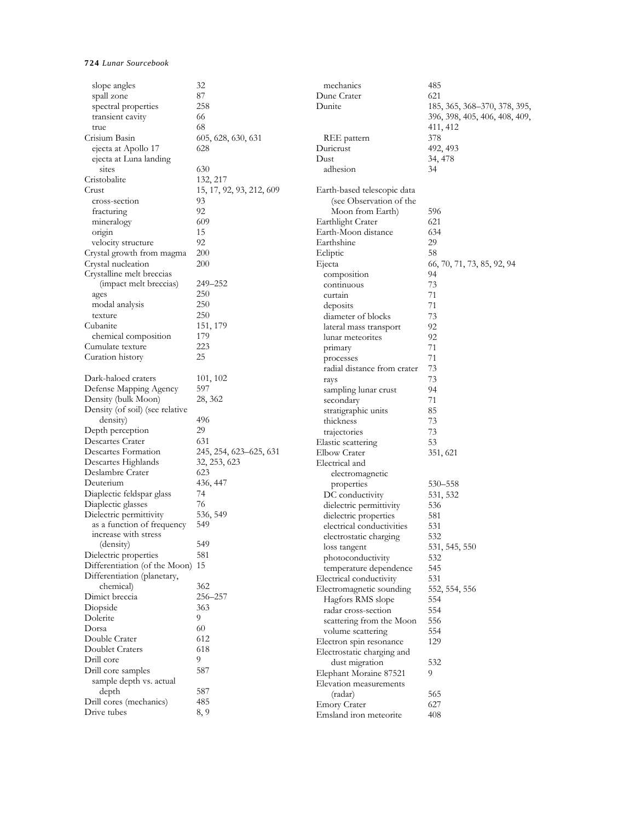| slope angles                                        | 32                       | mechanics                                  | 485                           |
|-----------------------------------------------------|--------------------------|--------------------------------------------|-------------------------------|
| spall zone                                          | 87                       | Dune Crater                                | 621                           |
| spectral properties                                 | 258                      | Dunite                                     | 185, 365, 368–370, 378, 395,  |
| transient cavity                                    | 66                       |                                            | 396, 398, 405, 406, 408, 409, |
| true                                                | 68                       |                                            | 411, 412                      |
| Crisium Basin                                       | 605, 628, 630, 631       | REE pattern                                | 378                           |
| ejecta at Apollo 17                                 | 628                      | Duricrust                                  | 492, 493                      |
| ejecta at Luna landing                              |                          | Dust                                       | 34, 478                       |
| sites                                               | 630                      | adhesion                                   | 34                            |
| Cristobalite                                        | 132, 217                 |                                            |                               |
| Crust                                               | 15, 17, 92, 93, 212, 609 | Earth-based telescopic data                |                               |
| cross-section                                       | 93                       | (see Observation of the                    |                               |
| fracturing                                          | 92                       | Moon from Earth)                           | 596                           |
| mineralogy                                          | 609                      | Earthlight Crater                          | 621                           |
| origin                                              | 15                       | Earth-Moon distance                        | 634                           |
| velocity structure                                  | 92                       | Earthshine                                 | 29                            |
| Crystal growth from magma                           | 200                      | Ecliptic                                   | 58                            |
| Crystal nucleation                                  | 200                      | Ejecta                                     | 66, 70, 71, 73, 85, 92, 94    |
| Crystalline melt breccias<br>(impact melt breccias) | 249–252                  | composition                                | 94                            |
|                                                     | 250                      | continuous                                 | 73                            |
| ages<br>modal analysis                              | 250                      | curtain                                    | 71                            |
| texture                                             | 250                      | deposits                                   | 71                            |
| Cubanite                                            | 151, 179                 | diameter of blocks                         | 73<br>92                      |
| chemical composition                                | 179                      | lateral mass transport<br>lunar meteorites | 92                            |
| Cumulate texture                                    | 223                      |                                            | 71                            |
| Curation history                                    | 25                       | primary                                    | 71                            |
|                                                     |                          | processes<br>radial distance from crater   | 73                            |
| Dark-haloed craters                                 | 101, 102                 | rays                                       | 73                            |
| Defense Mapping Agency                              | 597                      | sampling lunar crust                       | 94                            |
| Density (bulk Moon)                                 | 28, 362                  | secondary                                  | 71                            |
| Density (of soil) (see relative                     |                          | stratigraphic units                        | 85                            |
| density)                                            | 496                      | thickness                                  | 73                            |
| Depth perception                                    | 29                       | trajectories                               | 73                            |
| Descartes Crater                                    | 631                      | Elastic scattering                         | 53                            |
| Descartes Formation                                 | 245, 254, 623–625, 631   | Elbow Crater                               | 351, 621                      |
| Descartes Highlands                                 | 32, 253, 623             | Electrical and                             |                               |
| Deslambre Crater                                    | 623                      | electromagnetic                            |                               |
| Deuterium                                           | 436, 447                 | properties                                 | 530-558                       |
| Diaplectic feldspar glass                           | 74                       | DC conductivity                            | 531, 532                      |
| Diaplectic glasses                                  | 76                       | dielectric permittivity                    | 536                           |
| Dielectric permittivity                             | 536, 549                 | dielectric properties                      | 581                           |
| as a function of frequency                          | 549                      | electrical conductivities                  | 531                           |
| increase with stress                                |                          | electrostatic charging                     | 532                           |
| (density)                                           | 549                      | loss tangent                               | 531, 545, 550                 |
| Dielectric properties                               | 581                      | photoconductivity                          | 532                           |
| Differentiation (of the Moon) 15                    |                          | temperature dependence                     | 545                           |
| Differentiation (planetary,                         |                          | Electrical conductivity                    | 531                           |
| chemical)                                           | 362                      | Electromagnetic sounding                   | 552, 554, 556                 |
| Dimict breccia                                      | 256-257                  | Hagfors RMS slope                          | 554                           |
| Diopside                                            | 363                      | radar cross-section                        | 554                           |
| Dolerite                                            | 9                        | scattering from the Moon                   | 556                           |
| Dorsa                                               | 60                       | volume scattering                          | 554                           |
| Double Crater                                       | 612                      | Electron spin resonance                    | 129                           |
| Doublet Craters                                     | 618                      | Electrostatic charging and                 |                               |
| Drill core                                          | 9                        | dust migration                             | 532                           |
| Drill core samples                                  | 587                      | Elephant Moraine 87521                     | 9                             |
| sample depth vs. actual                             |                          | Elevation measurements                     |                               |
| depth                                               | 587                      | (radar)                                    | 565                           |
| Drill cores (mechanics)                             | 485                      | <b>Emory Crater</b>                        | 627                           |
| Drive tubes                                         | 8, 9                     | Emsland iron meteorite                     | 408                           |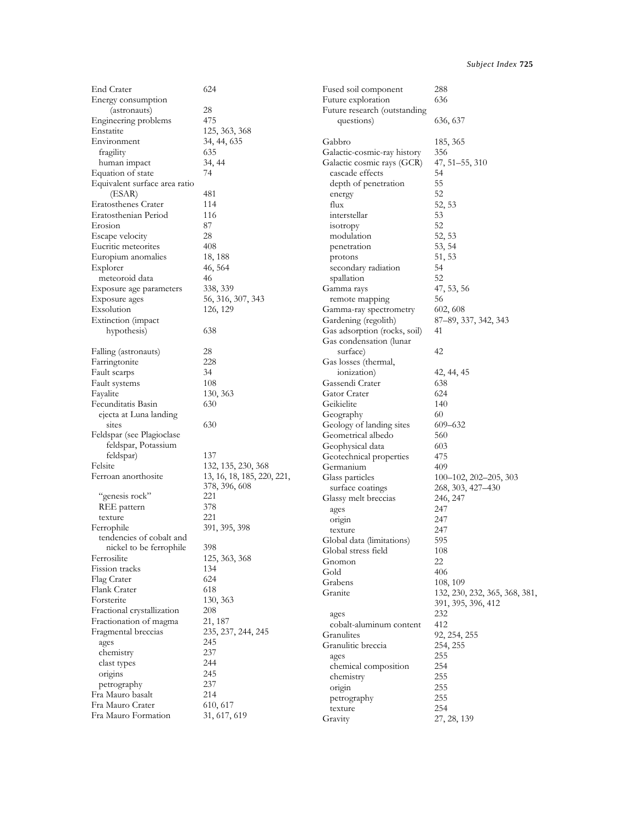| End Crater                    | 624                        | Fused soil component         | 288                           |
|-------------------------------|----------------------------|------------------------------|-------------------------------|
| Energy consumption            |                            | Future exploration           | 636                           |
| (astronauts)                  | 28                         | Future research (outstanding |                               |
| Engineering problems          | 475                        | questions)                   | 636, 637                      |
| Enstatite                     | 125, 363, 368              |                              |                               |
| Environment                   | 34, 44, 635                | Gabbro                       | 185, 365                      |
| fragility                     | 635                        | Galactic-cosmic-ray history  | 356                           |
| human impact                  | 34, 44                     | Galactic cosmic rays (GCR)   | 47, 51-55, 310                |
| Equation of state             | 74                         | cascade effects              | 54                            |
| Equivalent surface area ratio |                            | depth of penetration         | 55                            |
| (ESAR)                        | 481                        | energy                       | 52                            |
| Eratosthenes Crater           | 114                        | flux                         | 52, 53                        |
| Eratosthenian Period          | 116                        | interstellar                 | 53                            |
| Erosion                       | 87                         | isotropy                     | 52                            |
| Escape velocity               | 28                         | modulation                   | 52, 53                        |
| Eucritic meteorites           | 408                        | penetration                  | 53, 54                        |
| Europium anomalies            | 18, 188                    | protons                      | 51, 53                        |
| Explorer                      | 46, 564                    | secondary radiation          | 54                            |
| meteoroid data                | 46                         | spallation                   | 52                            |
|                               | 338, 339                   | Gamma rays                   | 47, 53, 56                    |
| Exposure age parameters       |                            |                              | 56                            |
| Exposure ages                 | 56, 316, 307, 343          | remote mapping               |                               |
| Exsolution                    | 126, 129                   | Gamma-ray spectrometry       | 602, 608                      |
| Extinction (impact            |                            | Gardening (regolith)         | 87-89, 337, 342, 343          |
| hypothesis)                   | 638                        | Gas adsorption (rocks, soil) | 41                            |
|                               |                            | Gas condensation (lunar      |                               |
| Falling (astronauts)          | 28                         | surface)                     | 42                            |
| Farringtonite                 | 228                        | Gas losses (thermal,         |                               |
| Fault scarps                  | 34                         | ionization)                  | 42, 44, 45                    |
| Fault systems                 | 108                        | Gassendi Crater              | 638                           |
| Fayalite                      | 130, 363                   | Gator Crater                 | 624                           |
| Fecunditatis Basin            | 630                        | Geikielite                   | 140                           |
| ejecta at Luna landing        |                            | Geography                    | 60                            |
| sites                         | 630                        | Geology of landing sites     | $609 - 632$                   |
| Feldspar (see Plagioclase     |                            | Geometrical albedo           | 560                           |
| feldspar, Potassium           |                            | Geophysical data             | 603                           |
| feldspar)                     | 137                        | Geotechnical properties      | 475                           |
| Felsite                       | 132, 135, 230, 368         | Germanium                    | 409                           |
| Ferroan anorthosite           | 13, 16, 18, 185, 220, 221, | Glass particles              | $100-102$ , $202-205$ , $303$ |
|                               | 378, 396, 608              | surface coatings             | 268, 303, 427–430             |
| "genesis rock"                | 221                        | Glassy melt breccias         | 246, 247                      |
| REE pattern                   | 378                        | ages                         | 247                           |
| texture                       | 221                        | origin                       | 247                           |
| Ferrophile                    | 391, 395, 398              | texture                      | 247                           |
| tendencies of cobalt and      |                            | Global data (limitations)    | 595                           |
| nickel to be ferrophile       | 398                        | Global stress field          | $108\,$                       |
| Ferrosilite                   | 125, 363, 368              | Gnomon                       | 22                            |
| Fission tracks                | 134                        | Gold                         | 406                           |
| Flag Crater                   | 624                        | Grabens                      | 108, 109                      |
| Flank Crater                  | 618                        | Granite                      | 132, 230, 232, 365, 368, 381, |
| Forsterite                    | 130, 363                   |                              | 391, 395, 396, 412            |
| Fractional crystallization    | 208                        | ages                         | 232                           |
| Fractionation of magma        | 21, 187                    | cobalt-aluminum content      | 412                           |
| Fragmental breccias           | 235, 237, 244, 245         | Granulites                   | 92, 254, 255                  |
| ages                          | 245                        | Granulitic breccia           | 254, 255                      |
| chemistry                     | 237                        | ages                         | 255                           |
| clast types                   | 244                        | chemical composition         | 254                           |
| origins                       | 245                        | chemistry                    | 255                           |
| petrography                   | 237                        | origin                       | 255                           |
| Fra Mauro basalt              | 214                        | petrography                  | 255                           |
| Fra Mauro Crater              | 610, 617                   | texture                      | 254                           |
| Fra Mauro Formation           | 31, 617, 619               | Gravity                      | 27, 28, 139                   |
|                               |                            |                              |                               |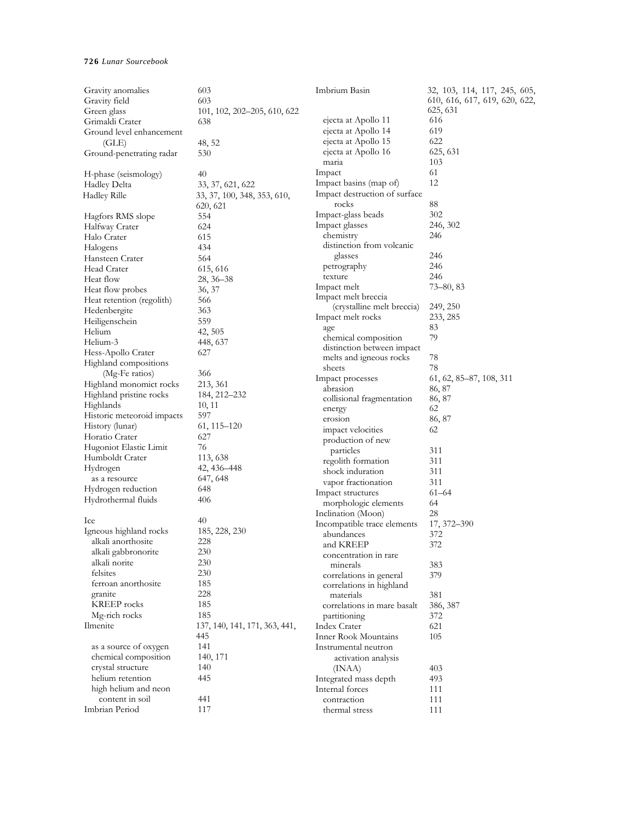| Gravity anomalies             | 603                           | Imbrium Basin                 | 32, 103, 114, 117, 245, 605,  |
|-------------------------------|-------------------------------|-------------------------------|-------------------------------|
| Gravity field                 | 603                           |                               | 610, 616, 617, 619, 620, 622, |
| Green glass                   | 101, 102, 202–205, 610, 622   |                               | 625, 631                      |
| Grimaldi Crater               | 638                           | ejecta at Apollo 11           | 616                           |
| Ground level enhancement      |                               | ejecta at Apollo 14           | 619                           |
| (GLE)                         | 48, 52                        | ejecta at Apollo 15           | 622                           |
| Ground-penetrating radar      | 530                           | ejecta at Apollo 16           | 625, 631                      |
|                               |                               | maria                         | 103                           |
| H-phase (seismology)          | 40                            | Impact                        | 61                            |
| Hadley Delta                  | 33, 37, 621, 622              | Impact basins (map of)        | 12                            |
| <b>Hadley Rille</b>           | 33, 37, 100, 348, 353, 610,   | Impact destruction of surface |                               |
|                               | 620, 621                      | rocks                         | 88                            |
| Hagfors RMS slope             | 554                           | Impact-glass beads            | 302                           |
| Halfway Crater                | 624                           | Impact glasses                | 246, 302                      |
| Halo Crater                   | 615                           | chemistry                     | 246                           |
| Halogens                      | 434                           | distinction from volcanic     |                               |
| Hansteen Crater               | 564                           | glasses                       | 246                           |
| Head Crater                   | 615, 616                      | petrography                   | 246                           |
| Heat flow                     | $28, 36 - 38$                 | texture                       | 246                           |
| Heat flow probes              | 36, 37                        | Impact melt                   | $73 - 80, 83$                 |
| Heat retention (regolith)     | 566                           | Impact melt breccia           |                               |
| Hedenbergite                  | 363                           | (crystalline melt breccia)    | 249, 250                      |
| Heiligenschein                | 559                           | Impact melt rocks             | 233, 285                      |
| Helium                        | 42, 505                       | age                           | 83                            |
| Helium-3                      | 448, 637                      | chemical composition          | 79                            |
| Hess-Apollo Crater            | 627                           | distinction between impact    |                               |
| Highland compositions         |                               | melts and igneous rocks       | 78                            |
| (Mg-Fe ratios)                | 366                           | sheets                        | 78                            |
| Highland monomict rocks       | 213, 361                      | Impact processes              | 61, 62, 85–87, 108, 311       |
| Highland pristine rocks       | 184, 212–232                  | abrasion                      | 86, 87                        |
| Highlands                     | 10, 11                        | collisional fragmentation     | 86, 87                        |
| Historic meteoroid impacts    | 597                           | energy                        | 62                            |
| History (lunar)               | 61, 115–120                   | erosion                       | 86, 87                        |
| Horatio Crater                | 627                           | impact velocities             | 62                            |
| Hugoniot Elastic Limit        | 76                            | production of new             |                               |
| Humboldt Crater               | 113, 638                      | particles                     | 311                           |
| Hydrogen                      | 42, 436–448                   | regolith formation            | 311                           |
| as a resource                 | 647, 648                      | shock induration              | 311                           |
| Hydrogen reduction            | 648                           | vapor fractionation           | 311                           |
| Hydrothermal fluids           | 406                           | Impact structures             | $61 - 64$                     |
|                               |                               | morphologic elements          | 64                            |
| Ice                           | 40                            | Inclination (Moon)            | 28                            |
| Igneous highland rocks        | 185, 228, 230                 | Incompatible trace elements   | 17, 372-390                   |
| alkali anorthosite            | 228                           | abundances                    | 372                           |
| alkali gabbronorite           | 230                           | and KREEP                     | 372                           |
| alkali norite                 | 230                           | concentration in rare         |                               |
| felsites                      | 230                           | minerals                      | 383                           |
| ferroan anorthosite           | 185                           | correlations in general       | 379                           |
|                               | 228                           | correlations in highland      |                               |
| granite<br><b>KREEP</b> rocks | 185                           | materials                     | 381                           |
| Mg-rich rocks                 | 185                           | correlations in mare basalt   | 386, 387                      |
|                               |                               | partitioning                  | 372                           |
| Ilmenite                      | 137, 140, 141, 171, 363, 441, | Index Crater                  | 621                           |
|                               | 445                           | Inner Rook Mountains          | 105                           |
| as a source of oxygen         | 141                           | Instrumental neutron          |                               |
| chemical composition          | 140, 171                      | activation analysis           |                               |
| crystal structure             | 140                           | (INAA)                        | 403                           |
| helium retention              | 445                           | Integrated mass depth         | 493                           |
| high helium and neon          |                               | Internal forces               | 111                           |
| content in soil               | 441                           | contraction                   | 111                           |
| Imbrian Period                | 117                           | thermal stress                | 111                           |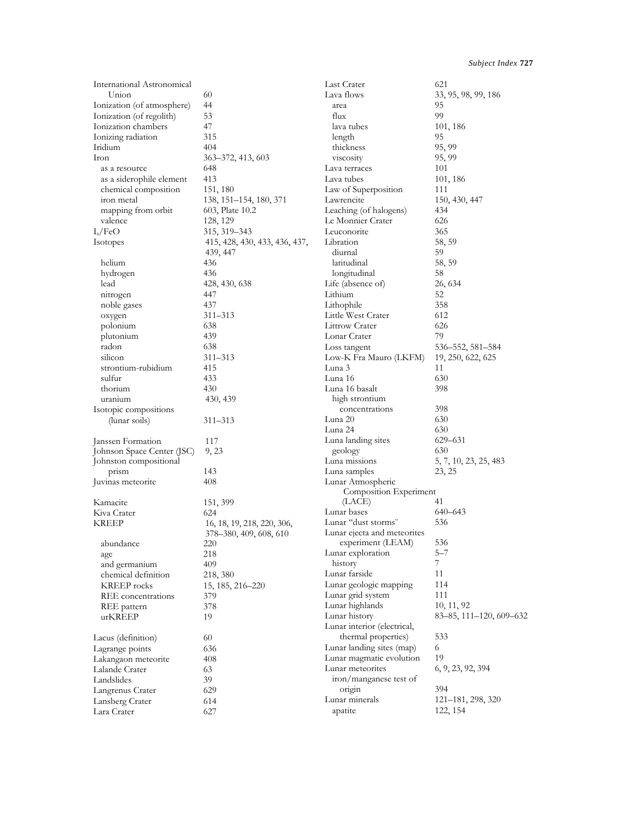| International Astronomical |                               | Last Crater                 | 621                     |
|----------------------------|-------------------------------|-----------------------------|-------------------------|
| Union                      | 60                            | Lava flows                  | 33, 95, 98, 99, 186     |
| Ionization (of atmosphere) | 44                            | area                        | 95                      |
| Ionization (of regolith)   | 53                            | flux                        | 99                      |
| Ionization chambers        | 47                            | lava tubes                  | 101, 186                |
| Ionizing radiation         | 315                           | length                      | 95                      |
| Iridium                    | 404                           | thickness                   | 95, 99                  |
| Iron                       | 363-372, 413, 603             | V1SCOS1ty                   | 95, 99                  |
| as a resource              | 648                           | Lava terraces               | 101                     |
| as a siderophile element   | 413                           | Lava tubes                  | 101, 186                |
| chemical composition       | 151, 180                      | Law of Superposition        | 111                     |
| iron metal                 | 138, 151–154, 180, 371        | Lawrencite                  | 150, 430, 447           |
| mapping from orbit         | 603, Plate 10.2               | Leaching (of halogens)      | 434                     |
| valence                    | 128, 129                      | Le Monnier Crater           | 626                     |
| $I_s/FeO$                  | 315, 319 - 343                | Leuconorite                 | 365                     |
|                            |                               | Libration                   | 58, 59                  |
| Isotopes                   | 415, 428, 430, 433, 436, 437, | diurnal                     |                         |
|                            | 439, 447                      |                             | 59                      |
| helium                     | 436                           | latitudinal                 | 58, 59                  |
| hydrogen                   | 436                           | longitudinal                | 58                      |
| lead                       | 428, 430, 638                 | Life (absence of)           | 26, 634                 |
| nitrogen                   | 447                           | Lithium                     | 52                      |
| noble gases                | 437                           | Lithophile                  | 358                     |
| oxygen                     | 311–313                       | Little West Crater          | 612                     |
| polonium                   | 638                           | <b>Littrow Crater</b>       | 626                     |
| plutonium                  | 439                           | Lonar Crater                | 79                      |
| radon                      | 638                           | Loss tangent                | 536–552, 581–584        |
| silicon                    | 311-313                       | Low-K Fra Mauro (LKFM)      | 19, 250, 622, 625       |
| strontium-rubidium         | 415                           | Luna 3                      | 11                      |
| sulfur                     | 433                           | Luna 16                     | 630                     |
| thorium                    | 430                           | Luna 16 basalt              | 398                     |
| uranium                    | 430, 439                      | high strontium              |                         |
| Isotopic compositions      |                               | concentrations              | 398                     |
| (lunar soils)              | 311-313                       | Luna 20                     | 630                     |
|                            |                               | Luna 24                     | 630                     |
| Janssen Formation          | 117                           | Luna landing sites          | 629-631                 |
| Johnson Space Center (JSC) | 9, 23                         | geology                     | 630                     |
| Johnston compositional     |                               | Luna missions               | 5, 7, 10, 23, 25, 483   |
| prism                      | 143                           | Luna samples                | 23, 25                  |
| Juvinas meteorite          | 408                           | Lunar Atmospheric           |                         |
|                            |                               | Composition Experiment      |                         |
| Kamacite                   | 151, 399                      | (LACE)                      | 41                      |
| Kiva Crater                | 624                           | Lunar bases                 | 640-643                 |
| <b>KREEP</b>               | 16, 18, 19, 218, 220, 306,    | Lunar "dust storms"         | 536                     |
|                            | 378–380, 409, 608, 610        | Lunar ejecta and meteorites |                         |
| abundance                  | 220                           | experiment (LEAM)           | 536                     |
| age                        | 218                           | Lunar exploration           | 5—7                     |
| and germanium              | 409                           | history                     | $7\phantom{.}$          |
| chemical definition        | 218, 380                      | Lunar farside               | 11                      |
| <b>KREEP</b> rocks         | 15, 185, 216–220              | Lunar geologic mapping      | 114                     |
| REE concentrations         | 379                           | Lunar grid system           | 111                     |
|                            |                               | Lunar highlands             | 10, 11, 92              |
| REE pattern                | 378<br>19                     | Lunar history               | 83-85, 111-120, 609-632 |
| urKREEP                    |                               |                             |                         |
|                            |                               | Lunar interior (electrical, |                         |
| Lacus (definition)         | 60                            | thermal properties)         | 533                     |
| Lagrange points            | 636                           | Lunar landing sites (map)   | 6                       |
| Lakangaon meteorite        | 408                           | Lunar magmatic evolution    | 19                      |
| Lalande Crater             | 63                            | Lunar meteorites            | 6, 9, 23, 92, 394       |
| Landslides                 | 39                            | iron/manganese test of      |                         |
| Langrenus Crater           | 629                           | origin                      | 394                     |
| Lansberg Crater            | 614                           | Lunar minerals              | 121-181, 298, 320       |
| Lara Crater                | 627                           | apatite                     | 122, 154                |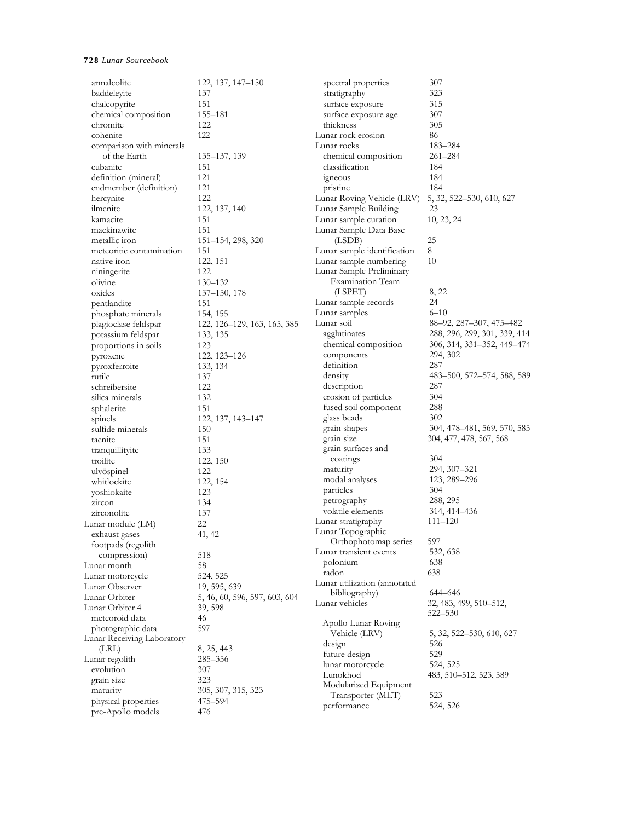| armalcolite                | 122, 137, 147-150                       | spectral properties                  | 307                          |
|----------------------------|-----------------------------------------|--------------------------------------|------------------------------|
| baddeleyite                | 137                                     | stratigraphy                         | 323                          |
| chalcopyrite               | 151                                     | surface exposure                     | 315                          |
| chemical composition       | 155-181                                 | surface exposure age                 | 307                          |
| chromite                   | 122                                     | thickness                            | 305                          |
| cohenite                   | 122                                     | Lunar rock erosion                   | 86                           |
| comparison with minerals   |                                         | Lunar rocks                          | 183-284                      |
| of the Earth               | 135-137, 139                            | chemical composition                 | $261 - 284$                  |
| cubanite                   | 151                                     | classification                       | 184                          |
| definition (mineral)       | 121                                     | igneous                              | 184                          |
| endmember (definition)     | 121                                     | pristine                             | 184                          |
| hercynite                  | 122                                     | Lunar Roving Vehicle (LRV)           | 5, 32, 522-530, 610, 627     |
| ilmenite                   | 122, 137, 140                           | Lunar Sample Building                | 23                           |
| kamacite                   | 151                                     | Lunar sample curation                | 10, 23, 24                   |
| mackinawite                | 151                                     | Lunar Sample Data Base               |                              |
| metallic iron              | 151–154, 298, 320                       | (LSDB)                               | 25                           |
| meteoritic contamination   | 151                                     | Lunar sample identification          | 8                            |
| native iron                | 122, 151                                | Lunar sample numbering               | 10                           |
| niningerite                | 122                                     | Lunar Sample Preliminary             |                              |
| olivine                    | $130 - 132$                             | <b>Examination Team</b>              |                              |
| oxides                     | 137–150, 178                            | (LSPET)                              | 8, 22                        |
| pentlandite                | 151                                     | Lunar sample records                 | 24                           |
| phosphate minerals         |                                         | Lunar samples                        | $6 - 10$                     |
|                            | 154, 155<br>122, 126-129, 163, 165, 385 | Lunar soil                           | 88-92, 287-307, 475-482      |
| plagioclase feldspar       |                                         | agglutinates                         | 288, 296, 299, 301, 339, 414 |
| potassium feldspar         | 133, 135                                | chemical composition                 | 306, 314, 331-352, 449-474   |
| proportions in soils       | 123                                     | components                           |                              |
| pyroxene                   | 122, 123–126                            | definition                           | 294, 302<br>287              |
| pyroxferroite              | 133, 134                                |                                      |                              |
| rutile                     | 137                                     | density                              | 483–500, 572–574, 588, 589   |
| schreibersite              | 122                                     | description                          | 287                          |
| silica minerals            | 132                                     | erosion of particles                 | 304                          |
| sphalerite                 | 151                                     | fused soil component                 | 288                          |
| spinels                    | 122, 137, 143–147                       | glass beads                          | 302                          |
| sulfide minerals           | 150                                     | grain shapes                         | 304, 478–481, 569, 570, 585  |
| taenite                    | 151                                     | grain size                           | 304, 477, 478, 567, 568      |
| tranquillityite            | 133                                     | grain surfaces and                   |                              |
| troilite                   | 122, 150                                | coatings                             | 304                          |
| ulvöspinel                 | 122                                     | maturity                             | 294, 307-321                 |
| whitlockite                | 122, 154                                | modal analyses                       | 123, 289–296                 |
| yoshiokaite                | 123                                     | particles                            | 304                          |
| zircon                     | 134                                     | petrography                          | 288, 295                     |
| zirconolite                | 137                                     | volatile elements                    | 314, 414–436                 |
| Lunar module (LM)          | 22                                      | Lunar stratigraphy                   | 111–120                      |
| exhaust gases              | 41, 42                                  | Lunar Topographic                    |                              |
| footpads (regolith         |                                         | Orthophotomap series                 | 597                          |
| compression)               | 518                                     | Lunar transient events               | 532, 638                     |
| Lunar month                | 58                                      | polonium                             | 638                          |
| Lunar motorcycle           | 524, 525                                | radon                                | 638                          |
| Lunar Observer             | 19, 595, 639                            | Lunar utilization (annotated         |                              |
| Lunar Orbiter              | 5, 46, 60, 596, 597, 603, 604           | bibliography)                        | 644-646                      |
| Lunar Orbiter 4            | 39, 598                                 | Lunar vehicles                       | 32, 483, 499, 510–512,       |
| meteoroid data             | 46                                      |                                      | $522 - 530$                  |
| photographic data          | 597                                     | Apollo Lunar Roving<br>Vehicle (LRV) | 5, 32, 522–530, 610, 627     |
| Lunar Receiving Laboratory |                                         |                                      |                              |
| (LRL)                      | 8, 25, 443                              | design                               | 526<br>529                   |
| Lunar regolith             | 285–356                                 | future design                        |                              |
| evolution                  | 307                                     | lunar motorcycle                     | 524, 525                     |
| grain size                 | 323                                     | Lunokhod                             | 483, 510–512, 523, 589       |
| maturity                   | 305, 307, 315, 323                      | Modularized Equipment                |                              |
| physical properties        | 475–594                                 | Transporter (MET)<br>performance     | 523<br>524, 526              |
| pre-Apollo models          | 476                                     |                                      |                              |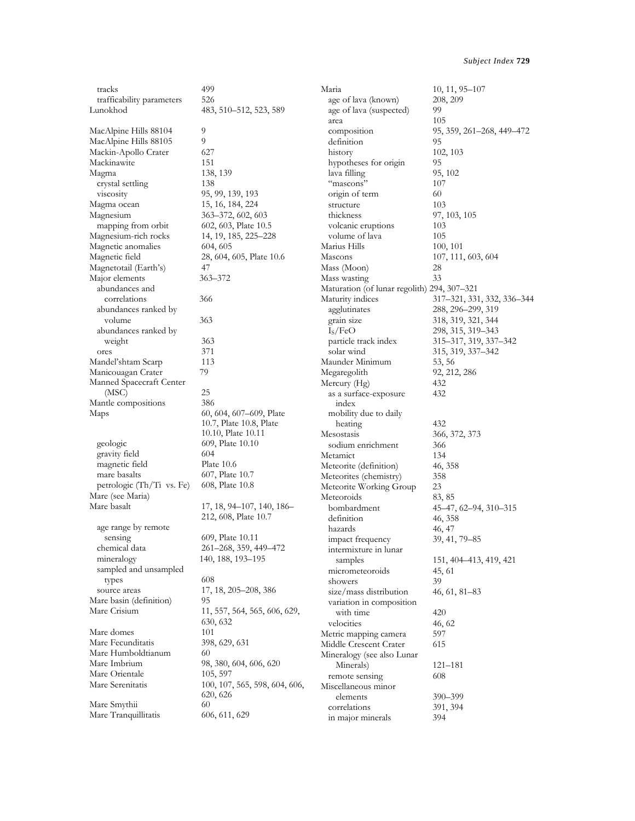| tracks                               | 499                                                | Maria                                              | 10, 11, 95-107                 |
|--------------------------------------|----------------------------------------------------|----------------------------------------------------|--------------------------------|
| trafficability parameters            | 526                                                | age of lava (known)                                | 208, 209                       |
| Lunokhod                             | 483, 510–512, 523, 589                             | age of lava (suspected)                            | 99                             |
|                                      |                                                    | area                                               | 105                            |
| MacAlpine Hills 88104                | 9                                                  | composition                                        | 95, 359, 261–268, 449–472      |
| MacAlpine Hills 88105                | 9                                                  | definition                                         | 95                             |
| Mackin-Apollo Crater                 | 627                                                | history                                            | 102, 103                       |
| Mackinawite                          | 151                                                | hypotheses for origin                              | 95                             |
| Magma                                | 138, 139                                           | lava filling                                       | 95, 102                        |
| crystal settling                     | 138                                                | "mascons"                                          | 107                            |
| viscosity                            | 95, 99, 139, 193                                   | origin of term                                     | 60                             |
| Magma ocean                          | 15, 16, 184, 224                                   | structure                                          | 103                            |
| Magnesium                            | 363–372, 602, 603                                  | thickness                                          | 97, 103, 105                   |
| mapping from orbit                   | 602, 603, Plate 10.5                               | volcanic eruptions                                 | 103                            |
| Magnesium-rich rocks                 | 14, 19, 185, 225-228                               | volume of lava<br>Marius Hills                     | 105                            |
| Magnetic anomalies<br>Magnetic field | 604, 605<br>28, 604, 605, Plate 10.6               | Mascons                                            | 100, 101<br>107, 111, 603, 604 |
| Magnetotail (Earth's)                | 47                                                 | Mass (Moon)                                        | 28                             |
| Major elements                       | 363-372                                            | Mass wasting                                       | 33                             |
| abundances and                       |                                                    | Maturation (of lunar regolith) 294, 307-321        |                                |
| correlations                         | 366                                                | Maturity indices                                   | 317–321, 331, 332, 336–344     |
| abundances ranked by                 |                                                    | agglutinates                                       | 288, 296-299, 319              |
| volume                               | 363                                                | grain size                                         | 318, 319, 321, 344             |
| abundances ranked by                 |                                                    | I <sub>S</sub> /FeO                                | 298, 315, 319-343              |
| weight                               | 363                                                | particle track index                               | 315-317, 319, 337-342          |
| ores                                 | 371                                                | solar wind                                         | 315, 319, 337-342              |
| Mandel'shtam Scarp                   | 113                                                | Maunder Minimum                                    | 53, 56                         |
| Manicouagan Crater                   | 79                                                 | Megaregolith                                       | 92, 212, 286                   |
| Manned Spacecraft Center             |                                                    | Mercury (Hg)                                       | 432                            |
| (MSC)                                | 25                                                 | as a surface-exposure                              | 432                            |
| Mantle compositions                  | 386                                                | index                                              |                                |
| Maps                                 | 60, 604, 607-609, Plate<br>10.7, Plate 10.8, Plate | mobility due to daily<br>heating                   | 432                            |
|                                      | 10.10, Plate 10.11                                 | Mesostasis                                         | 366, 372, 373                  |
| geologic                             | 609, Plate 10.10                                   | sodium enrichment                                  | 366                            |
| gravity field                        | 604                                                | Metamict                                           | 134                            |
| magnetic field                       | Plate 10.6                                         | Meteorite (definition)                             | 46, 358                        |
| mare basalts                         | 607, Plate 10.7                                    | Meteorites (chemistry)                             | 358                            |
| petrologic (Th/Ti vs. Fe)            | 608, Plate 10.8                                    | Meteorite Working Group                            | 23                             |
| Mare (see Maria)                     |                                                    | Meteoroids                                         | 83, 85                         |
| Mare basalt                          | 17, 18, 94–107, 140, 186–                          | bombardment                                        | 45–47, 62–94, 310–315          |
|                                      | 212, 608, Plate 10.7                               | definition                                         | 46, 358                        |
| age range by remote                  |                                                    | hazards                                            | 46, 47                         |
| sensing                              | 609, Plate 10.11                                   | impact frequency                                   | 39, 41, 79-85                  |
| chemical data                        | 261-268, 359, 449-472                              | intermixture in lunar                              |                                |
| mineralogy                           | 140, 188, 193-195                                  | samples                                            | 151, 404–413, 419, 421         |
| sampled and unsampled                | 608                                                | micrometeoroids                                    | 45, 61                         |
| types<br>source areas                | 17, 18, 205-208, 386                               | showers                                            | 39                             |
| Mare basin (definition)              | 95                                                 | size/mass distribution<br>variation in composition | $46, 61, 81 - 83$              |
| Mare Crisium                         | 11, 557, 564, 565, 606, 629,                       | with time                                          | 420                            |
|                                      | 630, 632                                           | velocities                                         | 46, 62                         |
| Mare domes                           | 101                                                | Metric mapping camera                              | 597                            |
| Mare Fecunditatis                    | 398, 629, 631                                      | Middle Crescent Crater                             | 615                            |
| Mare Humboldtianum                   | 60                                                 | Mineralogy (see also Lunar                         |                                |
| Mare Imbrium                         | 98, 380, 604, 606, 620                             | Minerals)                                          | 121–181                        |
| Mare Orientale                       | 105, 597                                           | remote sensing                                     | 608                            |
| Mare Serenitatis                     | 100, 107, 565, 598, 604, 606,                      | Miscellaneous minor                                |                                |
|                                      | 620, 626                                           | elements                                           | 390–399                        |
| Mare Smythii                         | 60                                                 | correlations                                       | 391, 394                       |
| Mare Tranquillitatis                 | 606, 611, 629                                      | in major minerals                                  | 394                            |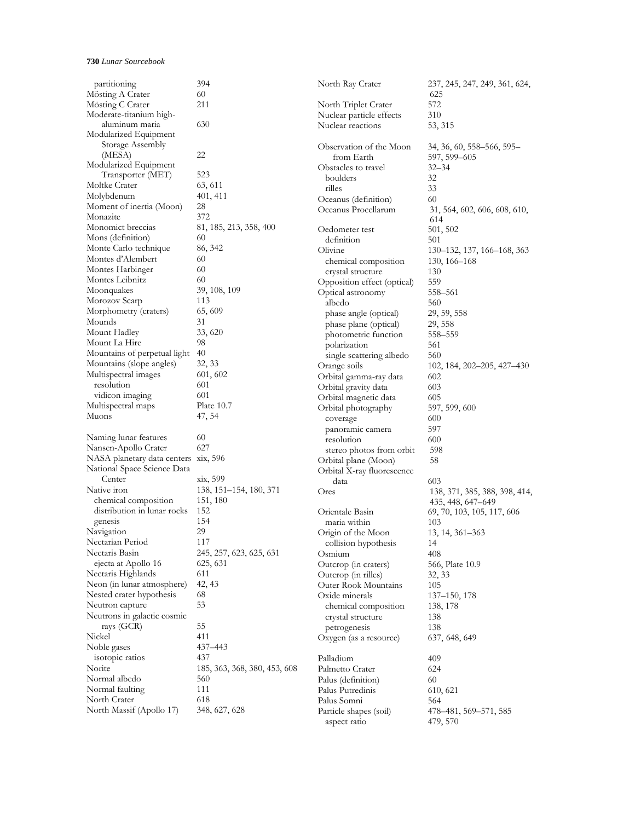| partitioning                         | 394                          | North Ray Crater            | 237, 245, 247, 249, 361, 624, |
|--------------------------------------|------------------------------|-----------------------------|-------------------------------|
| Mösting A Crater                     | 60                           |                             | 625                           |
| Mösting C Crater                     | 211                          | North Triplet Crater        | 572                           |
| Moderate-titanium high-              |                              | Nuclear particle effects    | 310                           |
| aluminum maria                       | 630                          | Nuclear reactions           | 53, 315                       |
| Modularized Equipment                |                              |                             |                               |
| Storage Assembly                     |                              | Observation of the Moon     | 34, 36, 60, 558–566, 595–     |
| (MESA)                               | 22                           | from Earth                  | 597, 599-605                  |
| Modularized Equipment                |                              | Obstacles to travel         | $32 - 34$                     |
| Transporter (MET)                    | 523                          | boulders                    | 32                            |
| Moltke Crater                        | 63, 611                      | rilles                      | 33                            |
| Molybdenum                           | 401, 411                     | Oceanus (definition)        | 60                            |
| Moment of inertia (Moon)             | 28                           | Oceanus Procellarum         | 31, 564, 602, 606, 608, 610,  |
| Monazite                             | 372                          |                             | 614                           |
| Monomict breccias                    | 81, 185, 213, 358, 400       | Oedometer test              | 501, 502                      |
| Mons (definition)                    | 60                           | definition                  | 501                           |
| Monte Carlo technique                | 86, 342                      | Olivine                     | 130–132, 137, 166–168, 363    |
| Montes d'Alembert                    | 60                           | chemical composition        | 130, 166–168                  |
| Montes Harbinger                     | 60                           | crystal structure           | 130                           |
| Montes Leibnitz                      | 60                           | Opposition effect (optical) | 559                           |
| Moonquakes                           | 39, 108, 109                 | Optical astronomy           | 558-561                       |
| Morozov Scarp                        | 113                          | albedo                      | 560                           |
| Morphometry (craters)                | 65,609                       | phase angle (optical)       | 29, 59, 558                   |
| Mounds                               | 31                           | phase plane (optical)       | 29, 558                       |
| Mount Hadley                         | 33, 620                      | photometric function        | 558-559                       |
| Mount La Hire                        | 98                           | polarization                | 561                           |
| Mountains of perpetual light         | 40                           | single scattering albedo    | 560                           |
| Mountains (slope angles)             | 32, 33                       | Orange soils                | 102, 184, 202–205, 427–430    |
| Multispectral images                 | 601, 602                     | Orbital gamma-ray data      | 602                           |
| resolution                           | 601                          | Orbital gravity data        | 603                           |
| vidicon imaging                      | 601                          | Orbital magnetic data       | 605                           |
| Multispectral maps                   | Plate 10.7                   | Orbital photography         | 597, 599, 600                 |
| Muons                                | 47, 54                       | coverage                    | 600                           |
|                                      |                              | panoramic camera            | 597                           |
| Naming lunar features                | 60                           | resolution                  | 600                           |
| Nansen-Apollo Crater                 | 627                          | stereo photos from orbit    | 598                           |
| NASA planetary data centers xix, 596 |                              | Orbital plane (Moon)        | 58                            |
| National Space Science Data          |                              | Orbital X-ray fluorescence  |                               |
| Center                               | xix, 599                     | data                        | 603                           |
| Native iron                          | 138, 151-154, 180, 371       | Ores                        | 138, 371, 385, 388, 398, 414, |
| chemical composition                 | 151, 180                     |                             | 435, 448, 647–649             |
| distribution in lunar rocks          | 152                          | Orientale Basin             | 69, 70, 103, 105, 117, 606    |
| genesis                              | 154                          | maria within                | 103                           |
| Navigation                           | 29                           | Origin of the Moon          | 13, 14, 361–363               |
| Nectarian Period                     | 117                          | collision hypothesis        | 14                            |
| Nectaris Basin                       | 245, 257, 623, 625, 631      | Osmium                      | 408                           |
| ejecta at Apollo 16                  | 625, 631                     | Outcrop (in craters)        | 566, Plate 10.9               |
| Nectaris Highlands                   | 611                          | Outcrop (in rilles)         | 32, 33                        |
| Neon (in lunar atmosphere)           | 42, 43                       | <b>Outer Rook Mountains</b> | 105                           |
| Nested crater hypothesis             | 68                           | Oxide minerals              | 137-150, 178                  |
| Neutron capture                      | 53                           | chemical composition        | 138, 178                      |
| Neutrons in galactic cosmic          |                              | crystal structure           | 138                           |
| rays (GCR)                           | 55                           | petrogenesis                | 138                           |
| Nickel                               | 411                          | Oxygen (as a resource)      | 637, 648, 649                 |
| Noble gases                          | 437-443                      |                             |                               |
| isotopic ratios                      | 437                          | Palladium                   | 409                           |
| Norite                               | 185, 363, 368, 380, 453, 608 | Palmetto Crater             | 624                           |
| Normal albedo                        | 560                          | Palus (definition)          | 60                            |
| Normal faulting                      | 111                          | Palus Putredinis            | 610, 621                      |
| North Crater                         | 618                          | Palus Somni                 | 564                           |
| North Massif (Apollo 17)             | 348, 627, 628                | Particle shapes (soil)      | 478–481, 569–571, 585         |
|                                      |                              | aspect ratio                | 479, 570                      |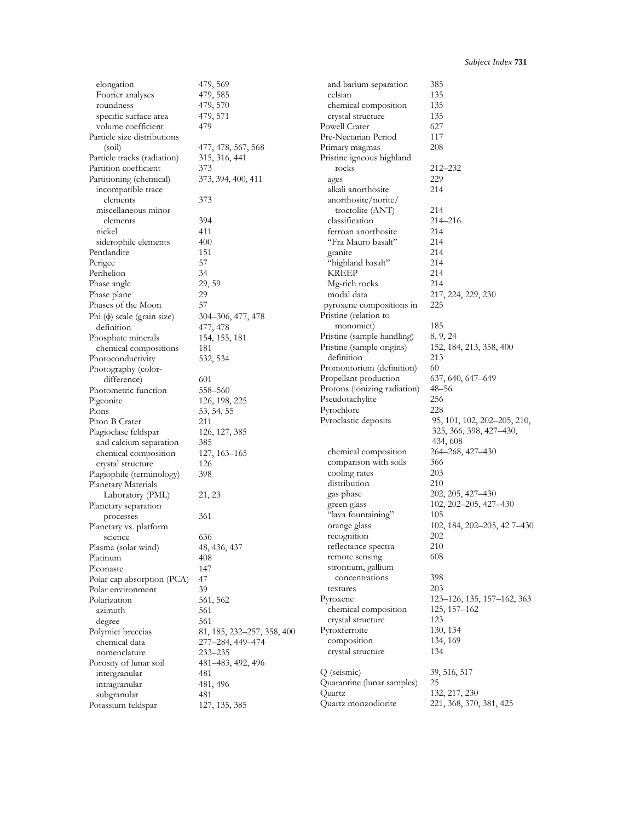| elongation                      | 479, 569                   | and barium separation        | 385                         |
|---------------------------------|----------------------------|------------------------------|-----------------------------|
| Fourier analyses                | 479, 585                   | celsian                      | 135                         |
| roundness                       | 479, 570                   | chemical composition         | 135                         |
| specific surface area           | 479, 571                   | crystal structure            | 135                         |
| volume coefficient              | 479                        | Powell Crater                | 627                         |
| Particle size distributions     |                            | Pre-Nectarian Period         | 117                         |
| (soil)                          | 477, 478, 567, 568         | Primary magmas               | 208                         |
| Particle tracks (radiation)     | 315, 316, 441              | Pristine igneous highland    |                             |
| Partition coefficient           | 373                        | rocks                        | 212-232                     |
| Partitioning (chemical)         | 373, 394, 400, 411         | ages                         | 229                         |
| incompatible trace              |                            | alkali anorthosite           | 214                         |
| elements                        | 373                        | anorthosite/norite/          |                             |
| miscellaneous minor             |                            | troctolite (ANT)             | 214                         |
| elements                        | 394                        | classification               | 214-216                     |
| nickel                          | 411                        | ferroan anorthosite          | 214                         |
| siderophile elements            | 400                        | "Fra Mauro basalt"           | 214                         |
| Pentlandite                     | 151                        | granite                      | 214                         |
| Perigee                         | 57                         | "highland basalt"            | 214                         |
| Perihelion                      | 34                         | KREEP                        | 214                         |
| Phase angle                     | 29, 59                     | Mg-rich rocks                | 214                         |
| Phase plane                     | 29                         | modal data                   | 217, 224, 229, 230          |
| Phases of the Moon              | 57                         | pyroxene compositions in     | 225                         |
|                                 |                            | Pristine (relation to        |                             |
| Phi $(\phi)$ scale (grain size) | 304–306, 477, 478          | monomict)                    | 185                         |
| definition                      | 477, 478                   |                              |                             |
| Phosphate minerals              | 154, 155, 181              | Pristine (sample handling)   | 8, 9, 24                    |
| chemical compositions           | 181                        | Pristine (sample origins)    | 152, 184, 213, 358, 400     |
| Photoconductivity               | 532, 534                   | definition                   | 213                         |
| Photography (color-             |                            | Promontorium (definition)    | 60                          |
| difference)                     | 601                        | Propellant production        | 637, 640, 647–649           |
| Photometric function            | 558-560                    | Protons (ionizing radiation) | 48–56                       |
| Pigeonite                       | 126, 198, 225              | Pseudotachylite              | 256                         |
| Pions                           | 53, 54, 55                 | Pyrochlore                   | 228                         |
| Piton B Crater                  | 211                        | Pyroclastic deposits         | 95, 101, 102, 202–205, 210, |
| Plagioclase feldspar            | 126, 127, 385              |                              | 325, 366, 398, 427–430,     |
| and calcium separation          | 385                        |                              | 434, 608                    |
| chemical composition            | 127, 163–165               | chemical composition         | 264–268, 427–430            |
| crystal structure               | 126                        | comparison with soils        | 366                         |
| Plagiophile (terminology)       | 398                        | cooling rates                | 203                         |
| Planetary Materials             |                            | distribution                 | 210                         |
| Laboratory (PML)                | 21, 23                     | gas phase                    | 202, 205, 427-430           |
| Planetary separation            |                            | green glass                  | 102, 202–205, 427–430       |
| processes                       | 361                        | "lava fountaining"           | 105                         |
| Planetary vs. platform          |                            | orange glass                 | 102, 184, 202–205, 427–430  |
| science                         | 636                        | recognition                  | 202                         |
| Plasma (solar wind)             | 48, 436, 437               | reflectance spectra          | 210                         |
| Platinum                        | 408                        | remote sensing               | 608                         |
| Pleonaste                       | 147                        | strontium, gallium           |                             |
| Polar cap absorption (PCA)      | 47                         | concentrations               | 398                         |
| Polar environment               | 39                         | textures                     | 203                         |
| Polarization                    | 561, 562                   | Pyroxene                     | 123–126, 135, 157–162, 363  |
| azimuth                         | 561                        | chemical composition         | $125, 157 - 162$            |
| degree                          | 561                        | crystal structure            | 123                         |
| Polymict breccias               | 81, 185, 232–257, 358, 400 | Pyroxferroite                | 130, 134                    |
| chemical data                   | 277-284, 449-474           | composition                  | 134, 169                    |
| nomenclature                    | 233-235                    | crystal structure            | 134                         |
| Porosity of lunar soil          | 481–483, 492, 496          |                              |                             |
| intergranular                   | 481                        | Q (seismic)                  | 39, 516, 517                |
| intragranular                   | 481, 496                   | Quarantine (lunar samples)   | 25                          |
| subgranular                     | 481                        | Quartz                       | 132, 217, 230               |
| Potassium feldspar              | 127, 135, 385              | Quartz monzodiorite          | 221, 368, 370, 381, 425     |
|                                 |                            |                              |                             |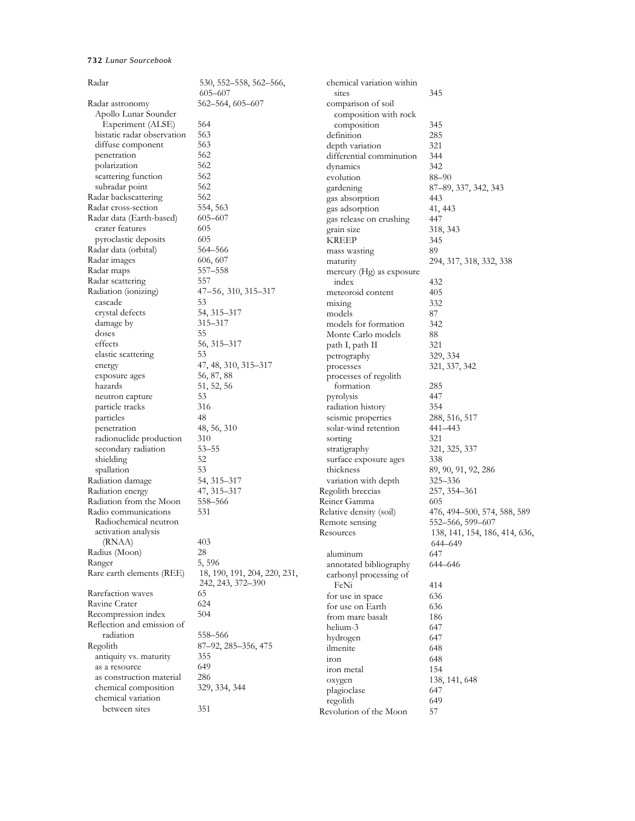| Radar                         | 530, 552–558, 562–566,       | chemical variation within |                               |
|-------------------------------|------------------------------|---------------------------|-------------------------------|
|                               | $605 - 607$                  | sites                     | 345                           |
| Radar astronomy               | 562–564, 605–607             | comparison of soil        |                               |
| Apollo Lunar Sounder          |                              | composition with rock     |                               |
| Experiment (ALSE)             | 564                          | composition               | 345                           |
| bistatic radar observation    | 563                          | definition                | 285                           |
| diffuse component             | 563                          | depth variation           | 321                           |
| penetration                   | 562                          | differential comminution  | 344                           |
| polarization                  | 562                          | dynamics                  | 342                           |
| scattering function           | 562                          | evolution                 | $88 - 90$                     |
| subradar point                | 562                          | gardening                 | 87-89, 337, 342, 343          |
| Radar backscattering          | 562                          | gas absorption            | 443                           |
| Radar cross-section           | 554, 563                     | gas adsorption            | 41, 443                       |
| Radar data (Earth-based)      | 605-607                      | gas release on crushing   | 447                           |
| crater features               | 605                          | grain size                | 318, 343                      |
| pyroclastic deposits          | 605                          | <b>KREEP</b>              | 345                           |
| Radar data (orbital)          | 564–566                      |                           | 89                            |
| Radar images                  | 606, 607                     | mass wasting              |                               |
| Radar maps                    | 557-558                      | maturity                  | 294, 317, 318, 332, 338       |
|                               |                              | mercury (Hg) as exposure  |                               |
| Radar scattering              | 557                          | index                     | 432                           |
| Radiation (ionizing)          | 47–56, 310, 315–317          | meteoroid content         | 405                           |
| cascade                       | 53                           | mixing                    | 332                           |
| crystal defects               | 54, 315–317                  | models                    | 87                            |
| damage by                     | 315–317                      | models for formation      | 342                           |
| doses                         | 55                           | Monte Carlo models        | 88                            |
| effects                       | 56, 315–317                  | path I, path II           | 321                           |
| elastic scattering            | 53                           | petrography               | 329, 334                      |
| energy                        | 47, 48, 310, 315–317         | processes                 | 321, 337, 342                 |
| exposure ages                 | 56, 87, 88                   | processes of regolith     |                               |
| hazards                       | 51, 52, 56                   | formation                 | 285                           |
| neutron capture               | 53                           | pyrolysis                 | 447                           |
| particle tracks               | 316                          | radiation history         | 354                           |
| particles                     | 48                           | seismic properties        | 288, 516, 517                 |
| penetration                   | 48, 56, 310                  | solar-wind retention      | 441–443                       |
| radionuclide production       | 310                          | sorting                   | 321                           |
| secondary radiation           | $53 - 55$                    | stratigraphy              | 321, 325, 337                 |
| shielding                     | 52                           | surface exposure ages     | 338                           |
| spallation                    | 53                           | thickness                 | 89, 90, 91, 92, 286           |
| Radiation damage              | 54, 315–317                  | variation with depth      | 325-336                       |
| Radiation energy              | 47, 315–317                  | Regolith breccias         | 257, 354–361                  |
| Radiation from the Moon       | 558-566                      | Reiner Gamma              | 605                           |
|                               |                              |                           |                               |
| Radio communications          | 531                          | Relative density (soil)   | 476, 494–500, 574, 588, 589   |
| Radiochemical neutron         |                              | Remote sensing            | 552-566, 599-607              |
| activation analysis<br>(RNAA) | 403                          | Resources                 | 138, 141, 154, 186, 414, 636, |
|                               |                              |                           | 644–649                       |
| Radius (Moon)                 | 28                           | aluminum                  | 647                           |
| Ranger                        | 5,596                        | annotated bibliography    | 644-646                       |
| Rare earth elements (REE)     | 18, 190, 191, 204, 220, 231, | carbonyl processing of    |                               |
|                               | 242, 243, 372-390            | FeNi                      | 414                           |
| Rarefaction waves             | 65                           | for use in space          | 636                           |
| Ravine Crater                 | 624                          | for use on Earth          | 636                           |
| Recompression index           | 504                          | from mare basalt          | 186                           |
| Reflection and emission of    |                              | helium-3                  | 647                           |
| radiation                     | 558-566                      | hydrogen                  | 647                           |
| Regolith                      | 87–92, 285–356, 475          | ilmenite                  | 648                           |
| antiquity vs. maturity        | 355                          | iron                      | 648                           |
| as a resource                 | 649                          | iron metal                | 154                           |
| as construction material      | 286                          | oxygen                    | 138, 141, 648                 |
| chemical composition          | 329, 334, 344                | plagioclase               | 647                           |
| chemical variation            |                              | regolith                  | 649                           |
| between sites                 | 351                          | Revolution of the Moon    | 57                            |
|                               |                              |                           |                               |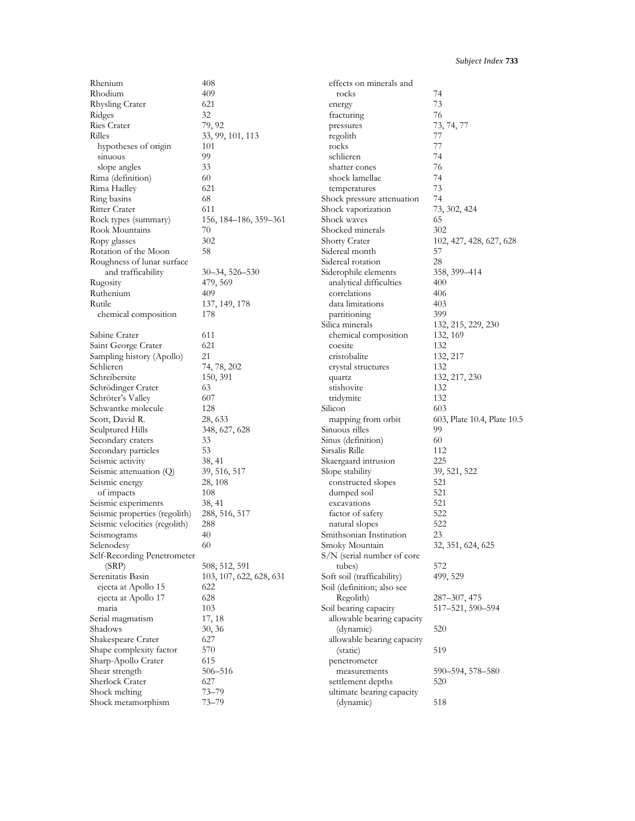| Rhenium                             | 408                     | effects on minerals and                |                             |
|-------------------------------------|-------------------------|----------------------------------------|-----------------------------|
| Rhodium                             | 409                     | rocks                                  | 74                          |
| Rhysling Crater                     | 621                     | energy                                 | 73                          |
| Ridges                              | 32                      | fracturing                             | 76                          |
| Ries Crater                         | 79, 92                  | pressures                              | 73, 74, 77                  |
| Rilles                              | 33, 99, 101, 113        | regolith                               | 77                          |
| hypotheses of origin                | 101                     | rocks                                  | 77                          |
| sinuous                             | 99                      | schlieren                              | 74                          |
| slope angles                        | 33                      | shatter cones                          | 76                          |
| Rima (definition)                   | 60                      | shock lamellae                         | 74                          |
|                                     | 621                     |                                        | 73                          |
| Rima Hadley                         |                         | temperatures                           |                             |
| Ring basins                         | 68                      | Shock pressure attenuation             | 74                          |
| Ritter Crater                       | 611                     | Shock vaporization                     | 73, 302, 424                |
| Rock types (summary)                | 156, 184–186, 359–361   | Shock waves                            | 65                          |
| Rook Mountains                      | 70                      | Shocked minerals                       | 302                         |
| Ropy glasses                        | 302                     | Shorty Crater                          | 102, 427, 428, 627, 628     |
| Rotation of the Moon                | 58                      | Sidereal month                         | 57                          |
| Roughness of lunar surface          |                         | Sidereal rotation                      | 28                          |
| and trafficability                  | $30-34, 526-530$        | Siderophile elements                   | 358, 399-414                |
| Rugosity                            | 479, 569                | analytical difficulties                | 400                         |
| Ruthenium                           | 409                     | correlations                           | 406                         |
| Rutile                              | 137, 149, 178           | data limitations                       | 403                         |
| chemical composition                | 178                     | partitioning                           | 399                         |
|                                     |                         | Silica minerals                        | 132, 215, 229, 230          |
| Sabine Crater                       | 611                     | chemical composition                   | 132, 169                    |
| Saint George Crater                 | 621                     | coesite                                | 132                         |
|                                     | 21                      | cristobalite                           |                             |
| Sampling history (Apollo)           |                         |                                        | 132, 217                    |
| Schlieren                           | 74, 78, 202             | crystal structures                     | 132                         |
| Schreibersite                       | 150, 391                | quartz                                 | 132, 217, 230               |
| Schrödinger Crater                  | 63                      | stishovite                             | 132                         |
| Schröter's Valley                   | 607                     | tridymite                              | 132                         |
| Schwantke molecule                  | 128                     | Silicon                                | 603                         |
| Scott, David R.                     | 28, 633                 | mapping from orbit                     | 603, Plate 10.4, Plate 10.5 |
| Sculptured Hills                    | 348, 627, 628           | Sinuous rilles                         | 99                          |
| Secondary craters                   | 33                      | Sinus (definition)                     | 60                          |
|                                     |                         |                                        |                             |
|                                     | 53                      | Sirsalis Rille                         | 112                         |
| Secondary particles                 |                         |                                        | 225                         |
| Seismic activity                    | 38, 41                  | Skaergaard intrusion                   |                             |
| Seismic attenuation $(Q)$           | 39, 516, 517            | Slope stability                        | 39, 521, 522                |
| Seismic energy                      | 28, 108                 | constructed slopes                     | 521                         |
| of impacts                          | 108                     | dumped soil                            | 521                         |
| Seismic experiments                 | 38, 41                  | excavations                            | 521                         |
| Seismic properties (regolith)       | 288, 516, 517           | factor of safety                       | 522                         |
| Seismic velocities (regolith)       | 288                     | natural slopes                         | 522                         |
| Seismograms                         | 40                      | Smithsonian Institution                | 23                          |
| Selenodesy                          | 60                      | Smoky Mountain                         | 32, 351, 624, 625           |
| Self-Recording Penetrometer         |                         | S/N (serial number of core             |                             |
| (SRP)                               | 508, 512, 591           | tubes)                                 | 572                         |
| Serenitatis Basin                   | 103, 107, 622, 628, 631 | Soft soil (trafficability)             | 499, 529                    |
| ejecta at Apollo 15                 | 622                     | Soil (definition; also see             |                             |
| ejecta at Apollo 17                 | 628                     | Regolith)                              | 287–307, 475                |
| maria                               | 103                     |                                        | 517-521, 590-594            |
|                                     |                         | Soil bearing capacity                  |                             |
| Serial magmatism                    | 17, 18                  | allowable bearing capacity             |                             |
| Shadows                             | 30, 36                  | (dynamic)                              | 520                         |
| Shakespeare Crater                  | 627                     | allowable bearing capacity             |                             |
| Shape complexity factor             | 570                     | (static)                               | 519                         |
| Sharp-Apollo Crater                 | 615                     | penetrometer                           |                             |
| Shear strength                      | 506-516                 | measurements                           | 590–594, 578–580            |
| Sherlock Crater                     | 627                     | settlement depths                      | 520                         |
| Shock melting<br>Shock metamorphism | $73 - 79$<br>$73 - 79$  | ultimate bearing capacity<br>(dynamic) | 518                         |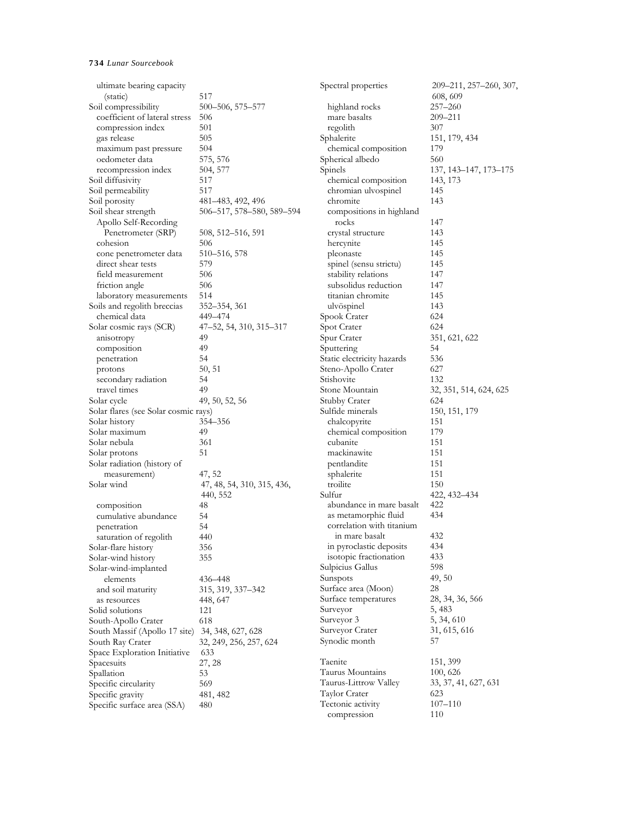| ultimate bearing capacity            |                            | Spectral properties        | 209-211, 257-260, 307, |
|--------------------------------------|----------------------------|----------------------------|------------------------|
| (static)                             | 517                        |                            | 608, 609               |
| Soil compressibility                 | 500–506, 575–577           | highland rocks             | 257–260                |
| coefficient of lateral stress        | 506                        | mare basalts               | 209-211                |
| compression index                    | 501                        | regolith                   | 307                    |
| gas release                          | 505                        | Sphalerite                 | 151, 179, 434          |
| maximum past pressure                | 504                        | chemical composition       | 179                    |
| oedometer data                       | 575, 576                   | Spherical albedo           | 560                    |
| recompression index                  | 504, 577                   | Spinels                    | 137, 143–147, 173–175  |
| Soil diffusivity                     | 517                        | chemical composition       | 143, 173               |
| Soil permeability                    | 517                        | chromian ulvospinel        | 145                    |
| Soil porosity                        | 481–483, 492, 496          | chromite                   | 143                    |
| Soil shear strength                  | 506-517, 578-580, 589-594  | compositions in highland   |                        |
| Apollo Self-Recording                |                            | rocks                      | 147                    |
| Penetrometer (SRP)                   | 508, 512–516, 591          | crystal structure          | 143                    |
| cohesion                             | 506                        | hercynite                  | 145                    |
| cone penetrometer data               | 510–516, 578               | pleonaste                  | 145                    |
| direct shear tests                   | 579                        | spinel (sensu strictu)     | 145                    |
| field measurement                    | 506                        | stability relations        | 147                    |
|                                      | 506                        | subsolidus reduction       | 147                    |
| friction angle                       | 514                        | titanian chromite          |                        |
| laboratory measurements              |                            |                            | 145                    |
| Soils and regolith breccias          | 352–354, 361               | ulvöspinel                 | 143                    |
| chemical data                        | 449–474                    | Spook Crater               | 624                    |
| Solar cosmic rays (SCR)              | 47-52, 54, 310, 315-317    | Spot Crater                | 624                    |
| anisotropy                           | 49                         | Spur Crater                | 351, 621, 622          |
| composition                          | 49                         | Sputtering                 | 54                     |
| penetration                          | 54                         | Static electricity hazards | 536                    |
| protons                              | 50, 51                     | Steno-Apollo Crater        | 627                    |
| secondary radiation                  | 54                         | Stishovite                 | 132                    |
| travel times                         | 49                         | Stone Mountain             | 32, 351, 514, 624, 625 |
| Solar cycle                          | 49, 50, 52, 56             | Stubby Crater              | 624                    |
| Solar flares (see Solar cosmic rays) |                            | Sulfide minerals           | 150, 151, 179          |
| Solar history                        | 354–356                    | chalcopyrite               | 151                    |
| Solar maximum                        | 49                         | chemical composition       | 179                    |
| Solar nebula                         | 361                        | cubanite                   | 151                    |
| Solar protons                        | 51                         | mackinawite                | 151                    |
| Solar radiation (history of          |                            | pentlandite                | 151                    |
| measurement)                         | 47, 52                     | sphalerite                 | 151                    |
| Solar wind                           | 47, 48, 54, 310, 315, 436, | troilite                   | 150                    |
|                                      | 440, 552                   | Sulfur                     | 422, 432–434           |
| composition                          | 48                         | abundance in mare basalt   | 422                    |
| cumulative abundance                 | 54                         | as metamorphic fluid       | 434                    |
| penetration                          | 54                         | correlation with titanium  |                        |
| saturation of regolith               | 440                        | in mare basalt             | 432                    |
| Solar-flare history                  | 356                        | in pyroclastic deposits    | 434                    |
| Solar-wind history                   | 355                        | isotopic fractionation     | 433                    |
| Solar-wind-implanted                 |                            | Sulpicius Gallus           | 598                    |
| elements                             | 436-448                    | Sunspots                   | 49, 50                 |
| and soil maturity                    | 315, 319, 337-342          | Surface area (Moon)        | 28                     |
| as resources                         | 448, 647                   | Surface temperatures       | 28, 34, 36, 566        |
| Solid solutions                      | 121                        | Surveyor                   | 5, 483                 |
| South-Apollo Crater                  | 618                        | Surveyor 3                 | 5, 34, 610             |
| South Massif (Apollo 17 site)        | 34, 348, 627, 628          | Surveyor Crater            | 31, 615, 616           |
| South Ray Crater                     | 32, 249, 256, 257, 624     | Synodic month              | 57                     |
| Space Exploration Initiative         | 633                        |                            |                        |
| Spacesuits                           | 27, 28                     | Taenite                    | 151, 399               |
| Spallation                           | 53                         | Taurus Mountains           | 100, 626               |
| Specific circularity                 | 569                        | Taurus-Littrow Valley      | 33, 37, 41, 627, 631   |
| Specific gravity                     | 481, 482                   | Taylor Crater              | 623                    |
| Specific surface area (SSA)          | 480                        | Tectonic activity          | $107 - 110$            |
|                                      |                            | compression                | 110                    |
|                                      |                            |                            |                        |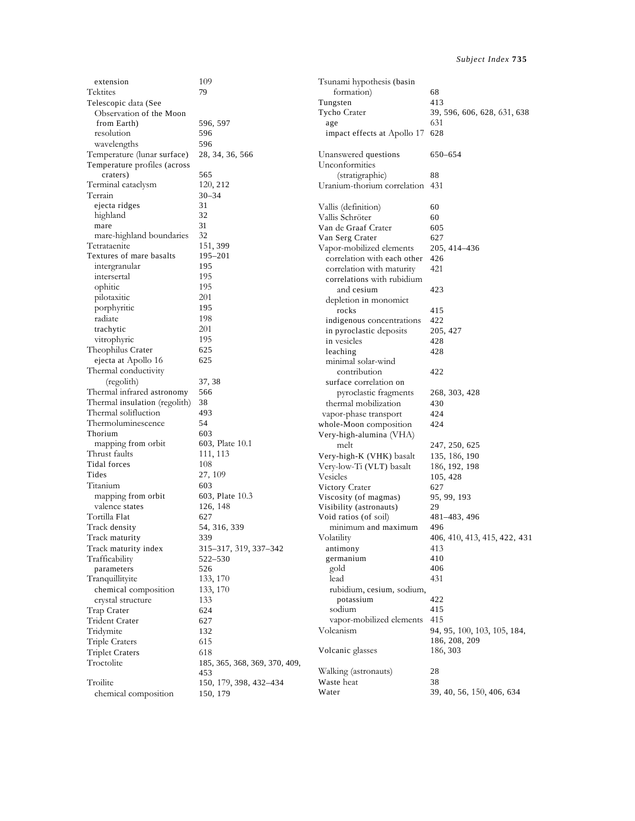| extension                     | 109                           | Tsunami hypothesis (basin       |                              |
|-------------------------------|-------------------------------|---------------------------------|------------------------------|
| Tektites                      | 79                            | formation)                      | 68                           |
| Telescopic data (See          |                               | Tungsten                        | 413                          |
| Observation of the Moon       |                               | Tycho Crater                    | 39, 596, 606, 628, 631, 638  |
| from Earth)                   | 596, 597                      | age                             | 631                          |
| resolution                    | 596                           | impact effects at Apollo 17 628 |                              |
| wavelengths                   | 596                           |                                 |                              |
| Temperature (lunar surface)   | 28, 34, 36, 566               | Unanswered questions            | 650-654                      |
| Temperature profiles (across  |                               | Unconformities                  |                              |
| craters)                      | 565                           | (stratigraphic)                 | 88                           |
| Terminal cataclysm            | 120, 212                      | Uranium-thorium correlation 431 |                              |
| Terrain                       | 30–34                         |                                 |                              |
| ejecta ridges                 | 31                            | Vallis (definition)             | 60                           |
| highland                      | 32                            | Vallis Schröter                 | 60                           |
| mare                          | 31                            | Van de Graaf Crater             | 605                          |
| mare-highland boundaries      | 32                            | Van Serg Crater                 | 627                          |
| Tetrataenite                  | 151, 399                      | Vapor-mobilized elements        | 205, 414–436                 |
| Textures of mare basalts      | 195–201                       | correlation with each other     | 426                          |
| intergranular                 | 195                           | correlation with maturity       | 421                          |
| intersertal                   | 195                           |                                 |                              |
| ophitic                       | 195                           | correlations with rubidium      |                              |
| pilotaxitic                   | 201                           | and cesium                      | 423                          |
| porphyritic                   | 195                           | depletion in monomict           |                              |
| radiate                       | 198                           | rocks                           | 415                          |
| trachytic                     | 201                           | indigenous concentrations       | 422                          |
| vitrophyric                   | 195                           | in pyroclastic deposits         | 205, 427                     |
|                               |                               | in vesicles                     | 428                          |
| Theophilus Crater             | 625                           | leaching                        | 428                          |
| ejecta at Apollo 16           | 625                           | minimal solar-wind              |                              |
| Thermal conductivity          |                               | contribution                    | 422                          |
| (regolith)                    | 37, 38                        | surface correlation on          |                              |
| Thermal infrared astronomy    | 566                           | pyroclastic fragments           | 268, 303, 428                |
| Thermal insulation (regolith) | 38                            | thermal mobilization            | 430                          |
| Thermal solifluction          | 493                           | vapor-phase transport           | 424                          |
| Thermoluminescence            | 54                            | whole-Moon composition          | 424                          |
| Thorium                       | 603                           | Very-high-alumina (VHA)         |                              |
| mapping from orbit            | 603, Plate 10.1               | melt                            | 247, 250, 625                |
| Thrust faults                 | 111, 113                      | Very-high-K (VHK) basalt        | 135, 186, 190                |
| Tidal forces                  | 108                           | Very-low-Ti (VLT) basalt        | 186, 192, 198                |
| Tides                         | 27, 109                       | Vesicles                        | 105, 428                     |
| Titanium                      | 603                           | Victory Crater                  | 627                          |
| mapping from orbit            | 603, Plate 10.3               | Viscosity (of magmas)           | 95, 99, 193                  |
| valence states                | 126, 148                      | Visibility (astronauts)         | 29                           |
| Tortilla Flat                 | 627                           | Void ratios (of soil)           | 481-483, 496                 |
| Track density                 | 54, 316, 339                  | minimum and maximum             | 496                          |
| Track maturity                | 339                           | Volatility                      | 406, 410, 413, 415, 422, 431 |
| Track maturity index          | 315-317, 319, 337-342         | antimony                        | 413                          |
| Trafficability                | 522–530                       | germanium                       | 410                          |
| parameters                    | 526                           | gold                            | 406                          |
| Tranquillityite               | 133, 170                      | lead                            | 431                          |
| chemical composition          | 133, 170                      | rubidium, cesium, sodium,       |                              |
| crystal structure             | 133                           | potassium                       | 422                          |
| Trap Crater                   | 624                           | sodium                          | 415                          |
| Trident Crater                | 627                           | vapor-mobilized elements        | 415                          |
| Tridymite                     | 132                           | Volcanism                       | 94, 95, 100, 103, 105, 184,  |
| Triple Craters                | 615                           |                                 | 186, 208, 209                |
| <b>Triplet Craters</b>        | 618                           | Volcanic glasses                | 186, 303                     |
| Troctolite                    | 185, 365, 368, 369, 370, 409, |                                 |                              |
|                               | 453                           | Walking (astronauts)            | 28                           |
| Troilite                      | 150, 179, 398, 432–434        | Waste heat                      | 38                           |
| chemical composition          | 150, 179                      | Water                           | 39, 40, 56, 150, 406, 634    |
|                               |                               |                                 |                              |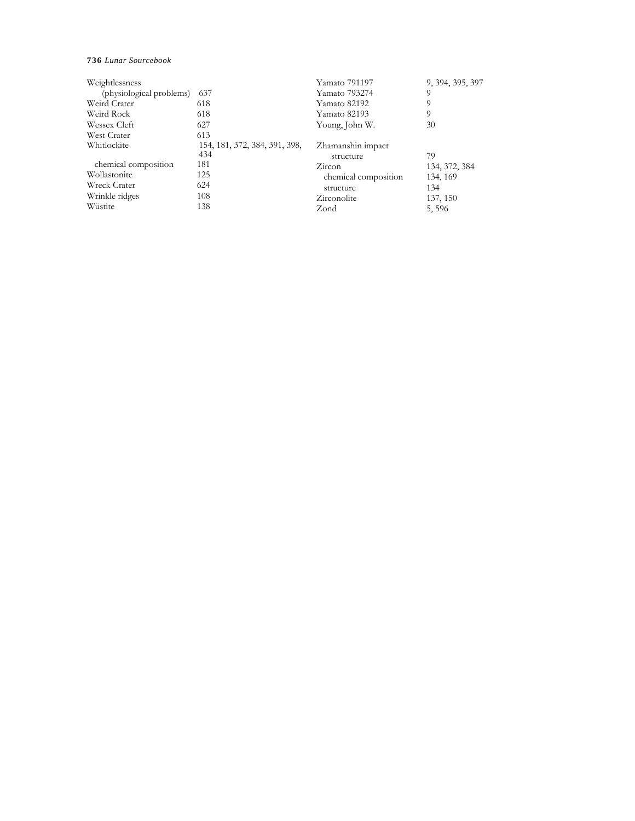| Weightlessness           |                                      | Yamato 791197                  | 9, 394, 395, 397 |
|--------------------------|--------------------------------------|--------------------------------|------------------|
| (physiological problems) | 637                                  | Yamato 793274                  | 9                |
| Weird Crater             | 618                                  | Yamato 82192                   | 9                |
| Weird Rock               | 618                                  | Yamato 82193                   | 9                |
| Wessex Cleft             | 627                                  | Young, John W.                 | 30               |
| West Crater              | 613                                  |                                |                  |
| Whitlockite              | 154, 181, 372, 384, 391, 398,<br>434 | Zhamanshin impact<br>structure | 79               |
| chemical composition     | 181                                  | Zircon                         | 134, 372, 384    |
| Wollastonite             | 125                                  | chemical composition           | 134, 169         |
| Wreck Crater             | 624                                  | structure                      | 134              |
| Wrinkle ridges           | 108                                  | Zirconolite                    | 137, 150         |
| Wüstite                  | 138                                  | Zond                           | 5,596            |